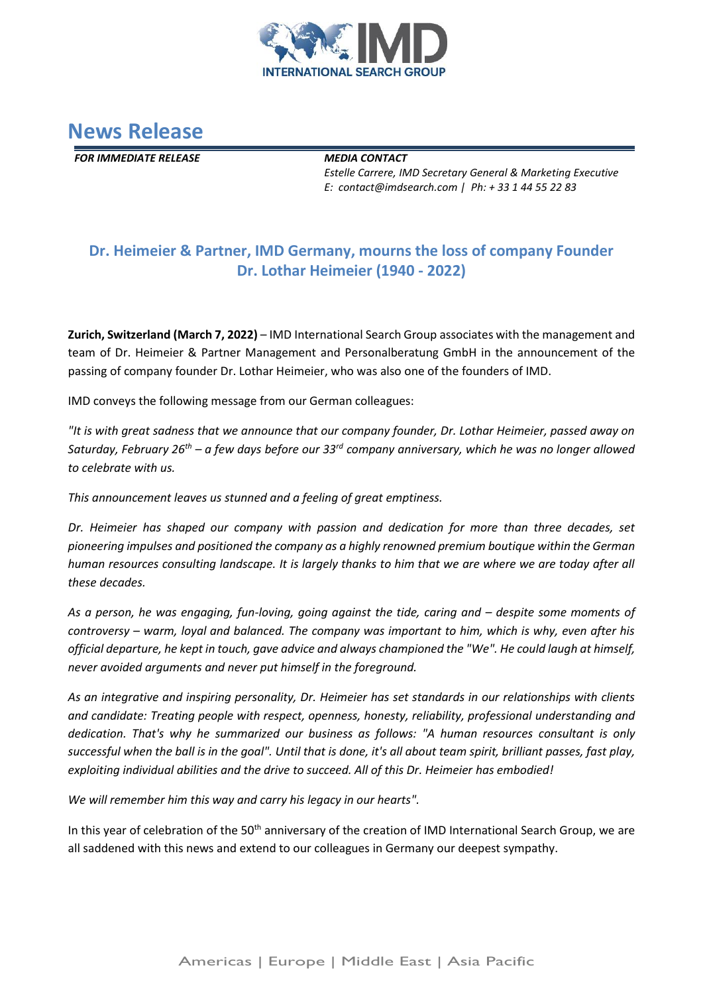



*FOR IMMEDIATE RELEASE MEDIA CONTACT*

*Estelle Carrere, IMD Secretary General & Marketing Executive E: contact@imdsearch.com | Ph: + 33 1 44 55 22 83* 

## **Dr. Heimeier & Partner, IMD Germany, mourns the loss of company Founder Dr. Lothar Heimeier (1940 - 2022)**

**Zurich, Switzerland (March 7, 2022)** – IMD International Search Group associates with the management and team of Dr. Heimeier & Partner Management and Personalberatung GmbH in the announcement of the passing of company founder Dr. Lothar Heimeier, who was also one of the founders of IMD.

IMD conveys the following message from our German colleagues:

*"It is with great sadness that we announce that our company founder, Dr. Lothar Heimeier, passed away on Saturday, February 26th – a few days before our 33rd company anniversary, which he was no longer allowed to celebrate with us.*

*This announcement leaves us stunned and a feeling of great emptiness.*

*Dr. Heimeier has shaped our company with passion and dedication for more than three decades, set pioneering impulses and positioned the company as a highly renowned premium boutique within the German human resources consulting landscape. It is largely thanks to him that we are where we are today after all these decades.*

As a person, he was engaging, fun-loving, going against the tide, caring and – despite some moments of *controversy – warm, loyal and balanced. The company was important to him, which is why, even after his official departure, he kept in touch, gave advice and always championed the "We". He could laugh at himself, never avoided arguments and never put himself in the foreground.*

As an integrative and inspiring personality, Dr. Heimeier has set standards in our relationships with *clients and candidate: Treating people with respect, openness, honesty, reliability, professional understanding and dedication. That's why he summarized our business as follows: "A human resources consultant is only successful when the ball is in the goal". Until that is done, it's all about team spirit, brilliant passes, fast play, exploiting individual abilities and the drive to succeed. All of this Dr. Heimeier has embodied!*

*We will remember him this way and carry his legacy in our hearts".*

In this year of celebration of the 50<sup>th</sup> anniversary of the creation of IMD International Search Group, we are all saddened with this news and extend to our colleagues in Germany our deepest sympathy.